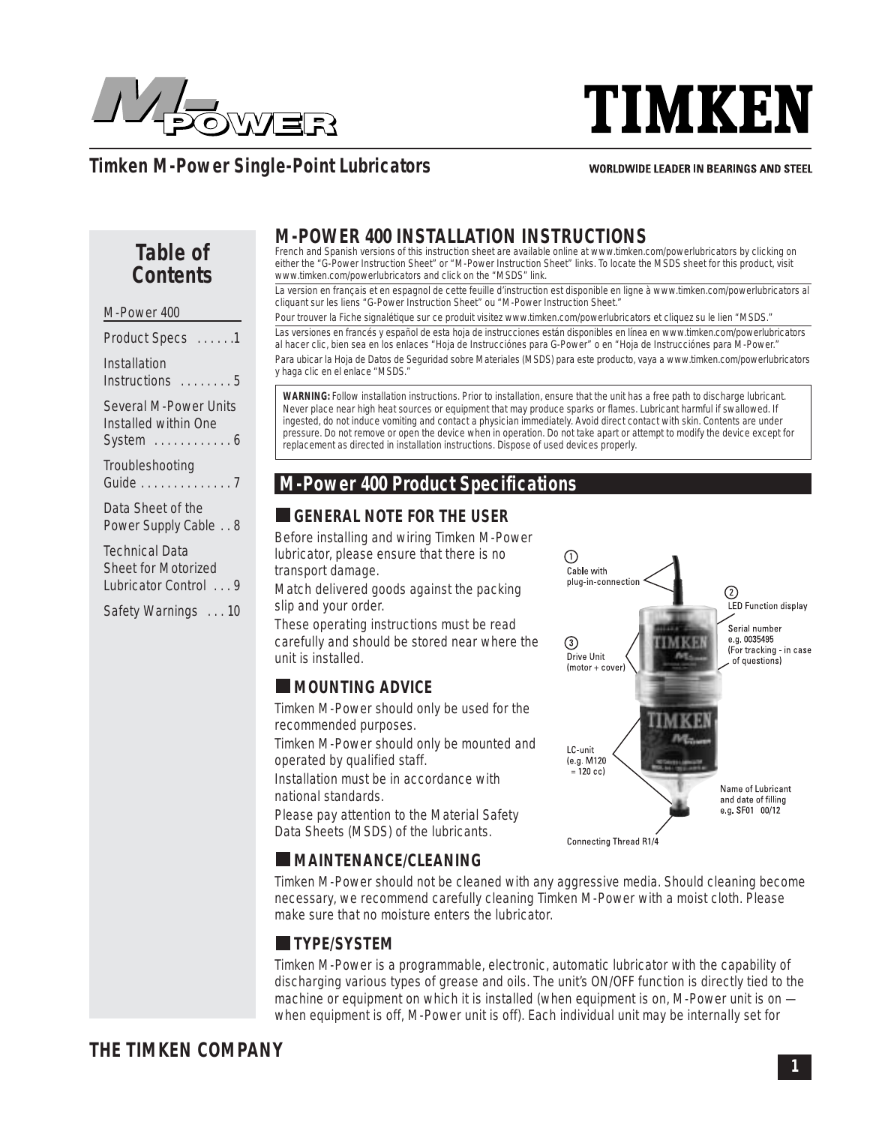

# **TIMKEN**

# **Timken M-Power Single-Point Lubricators**

#### **WORLDWIDE LEADER IN BEARINGS AND STEEL**

# **Table of Contents**

| M-Power 400                                                                     |
|---------------------------------------------------------------------------------|
| Product Specs 1                                                                 |
| Installation<br>$Instructions$ 5                                                |
| Several M-Power Units<br>Installed within One<br>System $\dots\dots\dots\dots6$ |

Troubleshooting Guide . . . . . . . . . . . . . . 7

Data Sheet of the Power Supply Cable . . 8

Technical Data Sheet for Motorized Lubricator Control . . . 9

Safety Warnings . . . 10

# **M-POWER 400 INSTALLATION INSTRUCTIONS**

French and Spanish versions of this instruction sheet are available online at www.timken.com/powerlubricators by clicking on either the "G-Power Instruction Sheet" or "M-Power Instruction Sheet" links. To locate the MSDS sheet for this product, visit www.timken.com/powerlubricators and click on the "MSDS" link.

La version en français et en espagnol de cette feuille d'instruction est disponible en ligne à www.timken.com/powerlubricators al cliquant sur les liens "G-Power Instruction Sheet" ou "M-Power Instruction Sheet."

Pour trouver la Fiche signalétique sur ce produit visitez www.timken.com/powerlubricators et cliquez su le lien "MSDS."

Las versiones en francés y español de esta hoja de instrucciones están disponibles en línea en www.timken.com/powerlubricators al hacer clic, bien sea en los enlaces "Hoja de Instrucciónes para G-Power" o en "Hoja de Instrucciónes para M-Power." Para ubicar la Hoja de Datos de Seguridad sobre Materiales (MSDS) para este producto, vaya a www.timken.com/powerlubricators y haga clic en el enlace "MSDS."

**WARNING:** Follow installation instructions. Prior to installation, ensure that the unit has a free path to discharge lubricant. Never place near high heat sources or equipment that may produce sparks or flames. Lubricant harmful if swallowed. If ingested, do not induce vomiting and contact a physician immediately. Avoid direct contact with skin. Contents are under pressure. Do not remove or open the device when in operation. Do not take apart or attempt to modify the device except for replacement as directed in installation instructions. Dispose of used devices properly.

## **M-Power 400 Product Specifications**

## **GENERAL NOTE FOR THE USER**

Before installing and wiring Timken M-Power lubricator, please ensure that there is no transport damage.

Match delivered goods against the packing slip and your order.

These operating instructions must be read carefully and should be stored near where the unit is installed.

## **MOUNTING ADVICE**

Timken M-Power should only be used for the recommended purposes.

Timken M-Power should only be mounted and operated by qualified staff.

Installation must be in accordance with national standards.

Please pay attention to the Material Safety Data Sheets (MSDS) of the lubricants.



## **MAINTENANCE/CLEANING**

Timken M-Power should not be cleaned with any aggressive media. Should cleaning become necessary, we recommend carefully cleaning Timken M-Power with a moist cloth. Please make sure that no moisture enters the lubricator.

## **TYPE/SYSTEM**

Timken M-Power is a programmable, electronic, automatic lubricator with the capability of discharging various types of grease and oils. The unit's ON/OFF function is directly tied to the machine or equipment on which it is installed (when equipment is on, M-Power unit is on when equipment is off, M-Power unit is off). Each individual unit may be internally set for

# **THE TIMKEN COMPANY**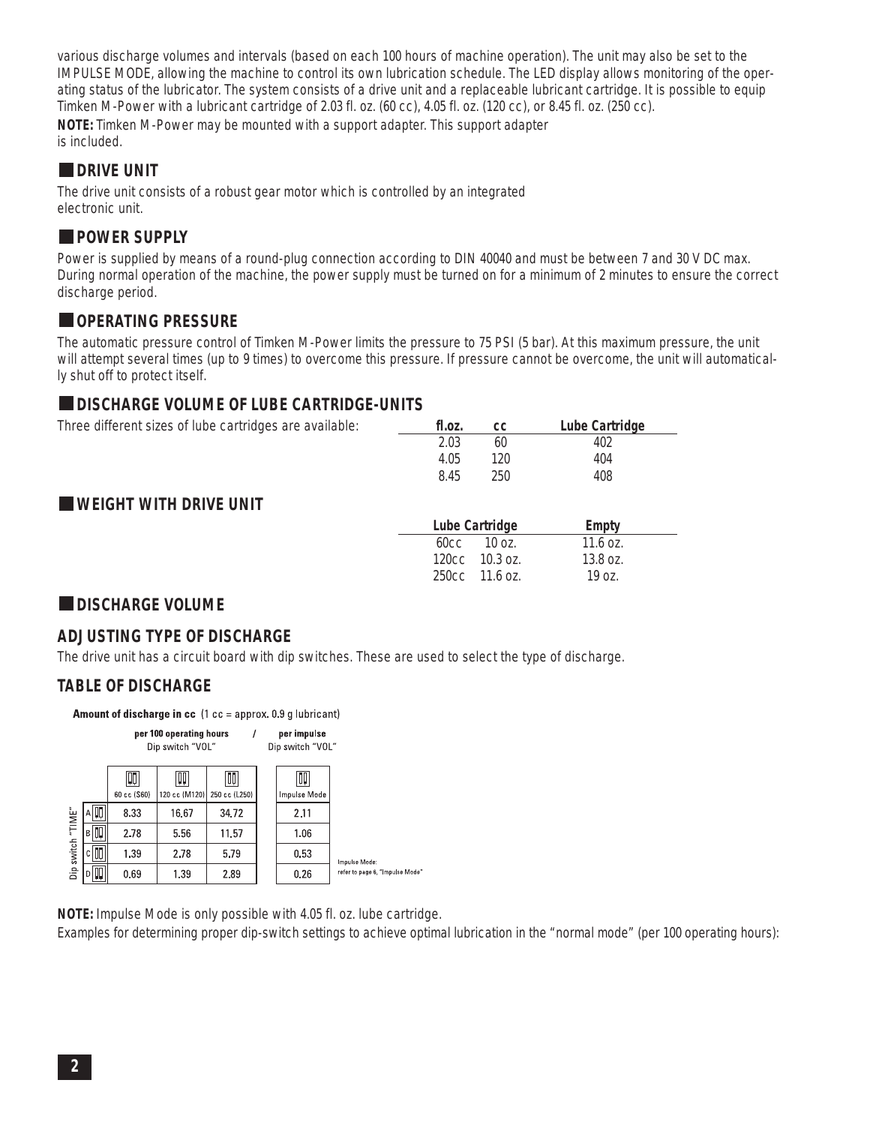various discharge volumes and intervals (based on each 100 hours of machine operation). The unit may also be set to the IMPULSE MODE, allowing the machine to control its own lubrication schedule. The LED display allows monitoring of the operating status of the lubricator. The system consists of a drive unit and a replaceable lubricant cartridge. It is possible to equip Timken M-Power with a lubricant cartridge of 2.03 fl. oz. (60 cc), 4.05 fl. oz. (120 cc), or 8.45 fl. oz. (250 cc). **NOTE:** Timken M-Power may be mounted with a support adapter. This support adapter is included.

#### **DRIVE UNIT**

The drive unit consists of a robust gear motor which is controlled by an integrated electronic unit.

### **POWER SUPPLY**

Power is supplied by means of a round-plug connection according to DIN 40040 and must be between 7 and 30 V DC max. During normal operation of the machine, the power supply must be turned on for a minimum of 2 minutes to ensure the correct discharge period.

## **OPERATING PRESSURE**

The automatic pressure control of Timken M-Power limits the pressure to 75 PSI (5 bar). At this maximum pressure, the unit will attempt several times (up to 9 times) to overcome this pressure. If pressure cannot be overcome, the unit will automatically shut off to protect itself.

#### **DISCHARGE VOLUME OF LUBE CARTRIDGE-UNITS**

| Three different sizes of lube cartridges are available: | tl.oz. | <b>CC</b> | Lube Cartridge |
|---------------------------------------------------------|--------|-----------|----------------|
|                                                         | 2.03   | 60        | 402            |
|                                                         | 4.05   | 120.      | 404            |
|                                                         | 8.45   | 250       | 408            |
| <b>WEIGHT WITH DRIVE UNIT</b>                           |        |           |                |

| Lube Cartridge      | Empty              |  |
|---------------------|--------------------|--|
| $60cc$ 10 $oz$ .    | 11.6 $oz$ .        |  |
| $120cc$ $10.3 oz$ . | $13.8 \text{ oz.}$ |  |
| $250cc$ 11.6 oz.    | 19.07 <sub>1</sub> |  |

### **DISCHARGE VOLUME**

### **ADJUSTING TYPE OF DISCHARGE**

The drive unit has a circuit board with dip switches. These are used to select the type of discharge.

#### **TABLE OF DISCHARGE**

**Amount of discharge in cc**  $(1 \text{ cc} = \text{approx. } 0.9 \text{ g}$  lubricant)

|                   |           |                   | per 100 operating hours<br>Dip switch "VOL" |                     | per impulse<br>Dip switch "VOL" |                                 |
|-------------------|-----------|-------------------|---------------------------------------------|---------------------|---------------------------------|---------------------------------|
|                   |           | Qņ<br>60 cc (S60) | Щ<br>120 cc (M120)                          | QQ<br>250 cc (L250) | QQ<br>Impulse Mode              |                                 |
|                   | AU        | 8.33              | 16.67                                       | 34.72               | 2.11                            |                                 |
| Dip switch "TIME" | вQ        | 2.78              | 5.56                                        | 11.57               | 1.06                            |                                 |
|                   | $c$ $ 1 $ | 1.39              | 2.78                                        | 5.79                | 0.53                            | Impulse Mode:                   |
|                   | D∏        | 0.69              | 1.39                                        | 2.89                | 0.26                            | refer to page 6, "Impulse Mode" |

**NOTE:** Impulse Mode is only possible with 4.05 fl. oz. lube cartridge.

Examples for determining proper dip-switch settings to achieve optimal lubrication in the "normal mode" (per 100 operating hours):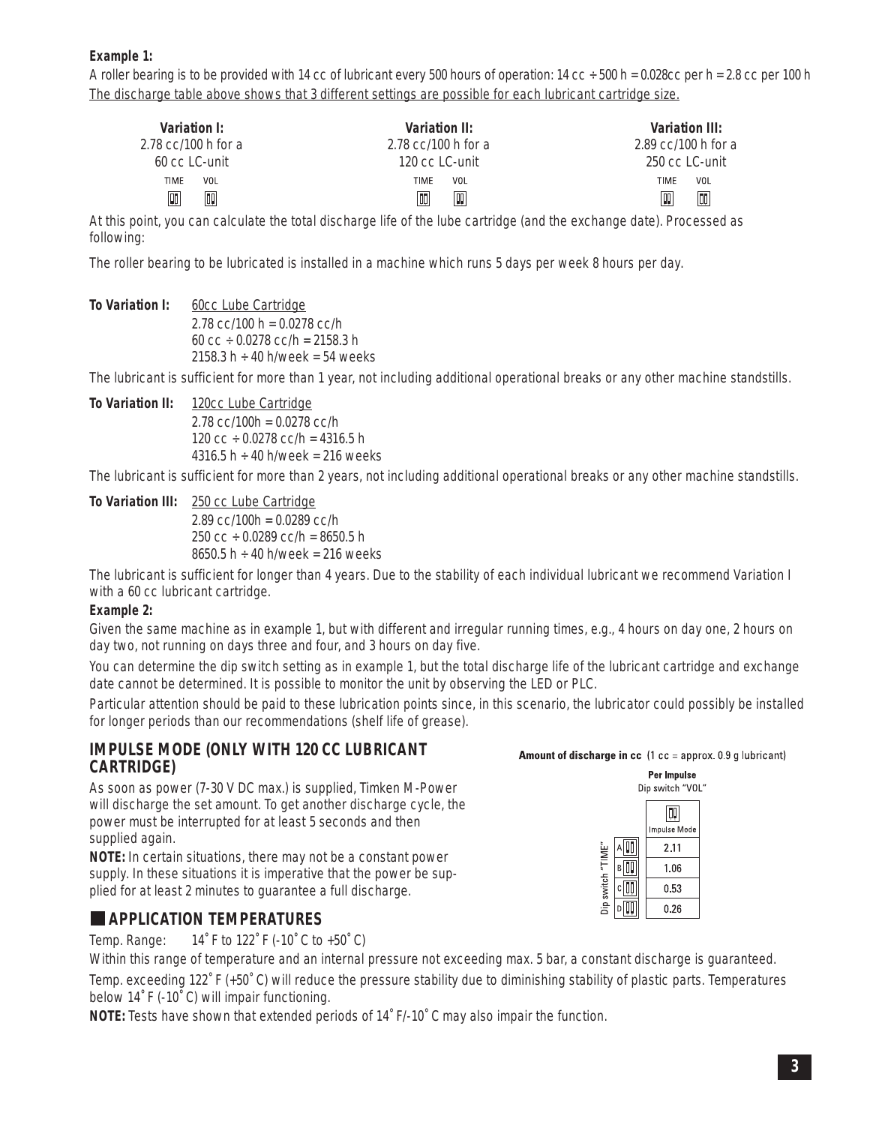**Example 1:**

A roller bearing is to be provided with 14 cc of lubricant every 500 hours of operation: 14 cc  $\div$  500 h = 0.028cc per h = 2.8 cc per 100 h The discharge table above shows that 3 different settings are possible for each lubricant cartridge size.

| Variation I:<br>$2.78$ cc/100 h for a<br>60 cc LC-unit | Variation II:<br>$2.78$ cc/100 h for a<br>120 cc LC-unit |     | $2.89$ cc/100 h for a<br>250 cc LC-unit | Variation III: |
|--------------------------------------------------------|----------------------------------------------------------|-----|-----------------------------------------|----------------|
| VOL<br>TIME                                            | TIME                                                     | VOL | TIME                                    | VOL            |
| π<br>吅                                                 | loo                                                      | W   | Ш                                       | 厕              |

At this point, you can calculate the total discharge life of the lube cartridge (and the exchange date). Processed as following:

The roller bearing to be lubricated is installed in a machine which runs 5 days per week 8 hours per day.

To Variation I: 60cc Lube Cartridge 2.78  $cc/100 h = 0.0278 cc/h$ 60 cc  $\div$  0.0278 cc/h = 2158.3 h

The lubricant is sufficient for more than 1 year, not including additional operational breaks or any other machine standstills.

**To Variation II:** 120cc Lube Cartridge  $2.78$  cc/100h = 0.0278 cc/h 120 cc  $\div$  0.0278 cc/h = 4316.5 h  $4316.5 h \div 40 h$ /week = 216 weeks

2158.3 h  $\div$  40 h/week = 54 weeks

The lubricant is sufficient for more than 2 years, not including additional operational breaks or any other machine standstills.

**To Variation III:** 250 cc Lube Cartridge  $2.89$  cc/100h = 0.0289 cc/h 250 cc  $\div$  0.0289 cc/h = 8650.5 h 8650.5 h  $\div$  40 h/week = 216 weeks

The lubricant is sufficient for longer than 4 years. Due to the stability of each individual lubricant we recommend Variation I with a 60 cc lubricant cartridge.

#### **Example 2:**

Given the same machine as in example 1, but with different and irregular running times, e.g., 4 hours on day one, 2 hours on day two, not running on days three and four, and 3 hours on day five.

You can determine the dip switch setting as in example 1, but the total discharge life of the lubricant cartridge and exchange date cannot be determined. It is possible to monitor the unit by observing the LED or PLC.

Particular attention should be paid to these lubrication points since, in this scenario, the lubricator could possibly be installed for longer periods than our recommendations (shelf life of grease).

#### **IMPULSE MODE (ONLY WITH 120 CC LUBRICANT CARTRIDGE)**

As soon as power (7-30 V DC max.) is supplied, Timken M-Power will discharge the set amount. To get another discharge cycle, the power must be interrupted for at least 5 seconds and then supplied again.

**NOTE:** In certain situations, there may not be a constant power supply. In these situations it is imperative that the power be supplied for at least 2 minutes to guarantee a full discharge.

#### **APPLICATION TEMPERATURES**

Temp. Range: 14˚ F to 122˚ F (-10˚ C to +50˚ C)

Within this range of temperature and an internal pressure not exceeding max. 5 bar, a constant discharge is guaranteed.

Temp. exceeding 122˚ F (+50˚ C) will reduce the pressure stability due to diminishing stability of plastic parts. Temperatures below 14˚ F (-10˚ C) will impair functioning.

**NOTE:** Tests have shown that extended periods of 14˚ F/-10˚ C may also impair the function.

#### **Amount of discharge in cc**  $(1 \text{ cc} = \text{approx.} 0.9 \text{ g}$  lubricant)

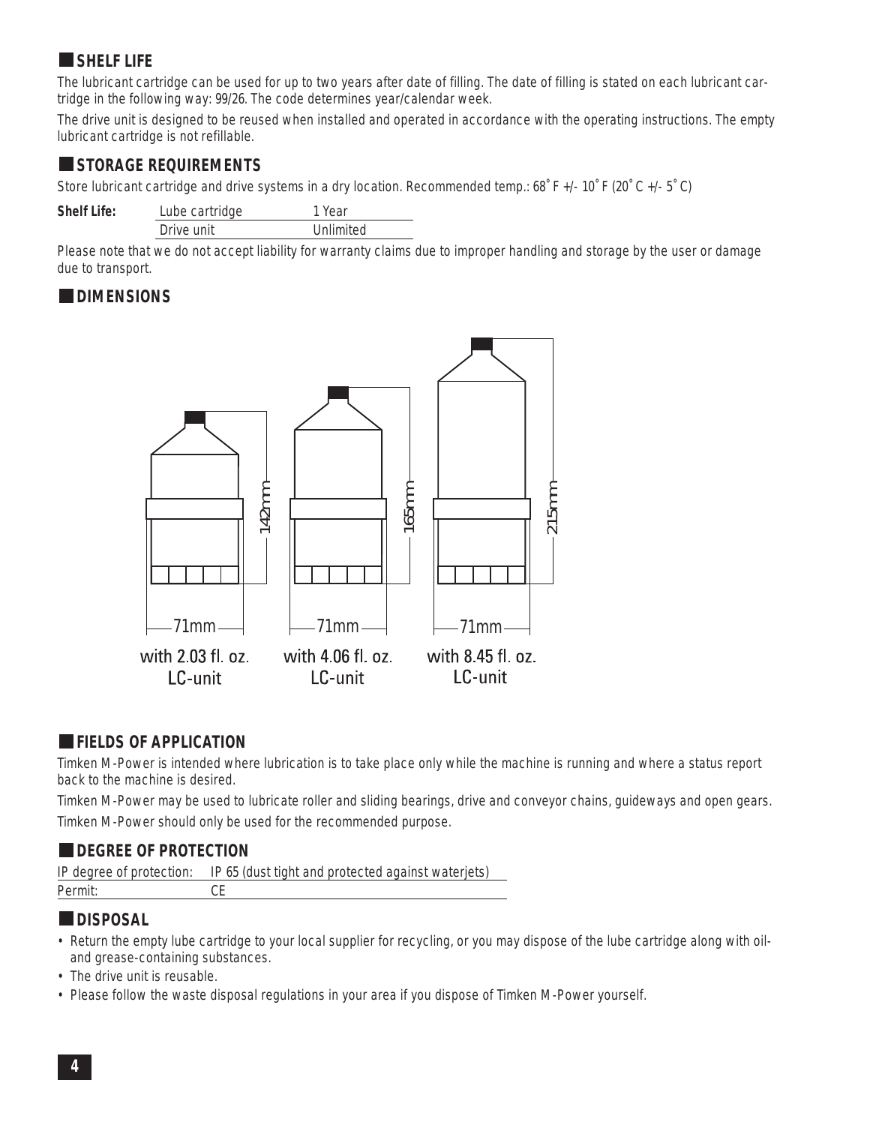## **SHELF LIFE**

The lubricant cartridge can be used for up to two years after date of filling. The date of filling is stated on each lubricant cartridge in the following way: 99/26. The code determines year/calendar week.

The drive unit is designed to be reused when installed and operated in accordance with the operating instructions. The empty lubricant cartridge is not refillable.

#### **STORAGE REQUIREMENTS**

Store lubricant cartridge and drive systems in a dry location. Recommended temp.: 68˚ F +/- 10˚ F (20˚ C +/- 5˚ C)

| <b>Shelf Life:</b> | Lube cartridge | 1 Year    |
|--------------------|----------------|-----------|
|                    | Drive unit     | Unlimited |

Please note that we do not accept liability for warranty claims due to improper handling and storage by the user or damage due to transport.

#### **DIMENSIONS**



### **FIELDS OF APPLICATION**

Timken M-Power is intended where lubrication is to take place only while the machine is running and where a status report back to the machine is desired.

Timken M-Power may be used to lubricate roller and sliding bearings, drive and conveyor chains, guideways and open gears. Timken M-Power should only be used for the recommended purpose.

### **DEGREE OF PROTECTION**

|         | IP degree of protection: IP 65 (dust tight and protected against waterjets) |
|---------|-----------------------------------------------------------------------------|
| Permit: |                                                                             |

#### **DISPOSAL**

- Return the empty lube cartridge to your local supplier for recycling, or you may dispose of the lube cartridge along with oiland grease-containing substances.
- The drive unit is reusable.
-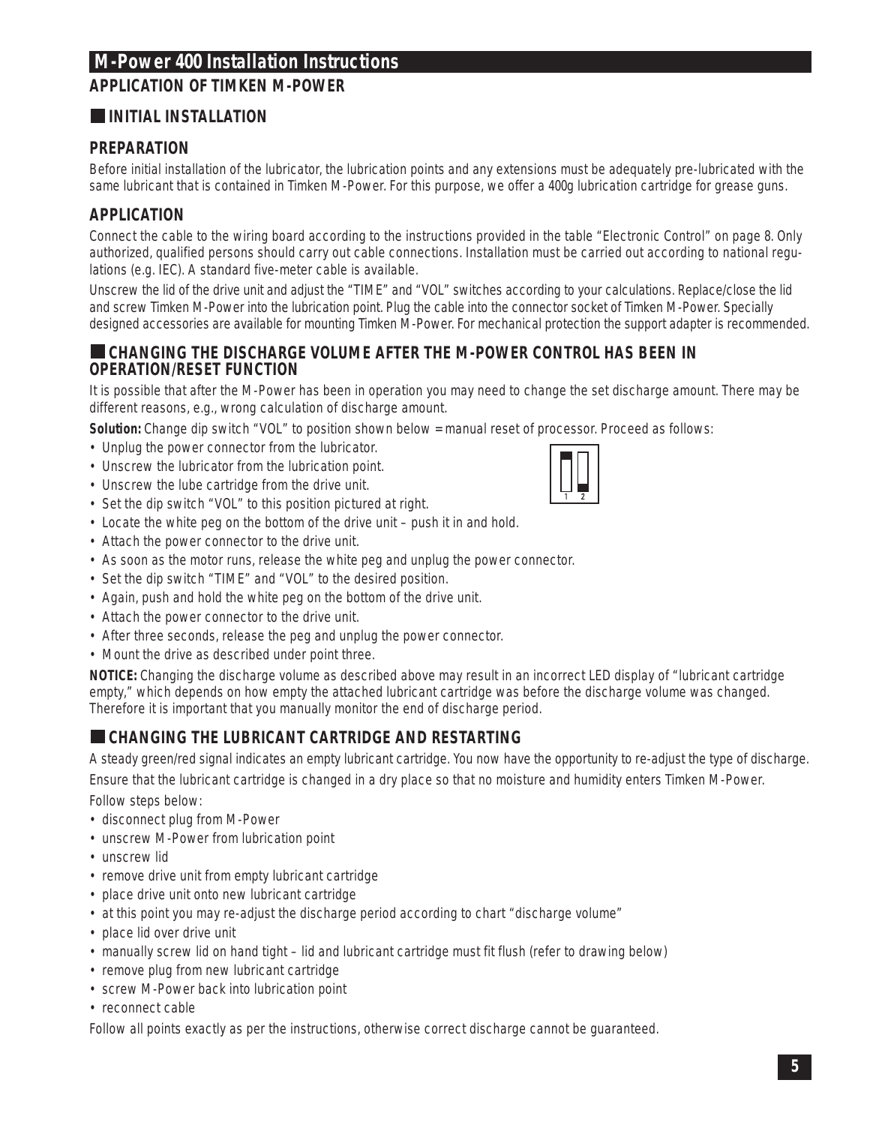## **M-Power 400 Installation Instructions**

## **APPLICATION OF TIMKEN M-POWER**

## **INITIAL INSTALLATION**

#### **PREPARATION**

Before initial installation of the lubricator, the lubrication points and any extensions must be adequately pre-lubricated with the same lubricant that is contained in Timken M-Power. For this purpose, we offer a 400g lubrication cartridge for grease guns.

## **APPLICATION**

Connect the cable to the wiring board according to the instructions provided in the table "Electronic Control" on page 8. Only authorized, qualified persons should carry out cable connections. Installation must be carried out according to national regulations (e.g. IEC). A standard five-meter cable is available.

Unscrew the lid of the drive unit and adjust the "TIME" and "VOL" switches according to your calculations. Replace/close the lid and screw Timken M-Power into the lubrication point. Plug the cable into the connector socket of Timken M-Power. Specially designed accessories are available for mounting Timken M-Power. For mechanical protection the support adapter is recommended.

#### **CHANGING THE DISCHARGE VOLUME AFTER THE M-POWER CONTROL HAS BEEN IN OPERATION/RESET FUNCTION**

It is possible that after the M-Power has been in operation you may need to change the set discharge amount. There may be different reasons, e.g., wrong calculation of discharge amount.

**Solution:** Change dip switch "VOL" to position shown below = manual reset of processor. Proceed as follows:

- Unplug the power connector from the lubricator.
- Unscrew the lubricator from the lubrication point.
- Unscrew the lube cartridge from the drive unit.
- Set the dip switch "VOL" to this position pictured at right.
- Locate the white peg on the bottom of the drive unit push it in and hold.
- Attach the power connector to the drive unit.
- As soon as the motor runs, release the white peg and unplug the power connector.
- Set the dip switch "TIME" and "VOL" to the desired position.
- Again, push and hold the white peg on the bottom of the drive unit.
- Attach the power connector to the drive unit.
- After three seconds, release the peg and unplug the power connector.
- Mount the drive as described under point three.

**NOTICE:** Changing the discharge volume as described above may result in an incorrect LED display of "lubricant cartridge empty," which depends on how empty the attached lubricant cartridge was before the discharge volume was changed. Therefore it is important that you manually monitor the end of discharge period.

### **CHANGING THE LUBRICANT CARTRIDGE AND RESTARTING**

A steady green/red signal indicates an empty lubricant cartridge. You now have the opportunity to re-adjust the type of discharge. Ensure that the lubricant cartridge is changed in a dry place so that no moisture and humidity enters Timken M-Power.

Follow steps below:

- disconnect plug from M-Power
- unscrew M-Power from lubrication point
- unscrew lid
- remove drive unit from empty lubricant cartridge
- place drive unit onto new lubricant cartridge
- at this point you may re-adjust the discharge period according to chart "discharge volume"
- place lid over drive unit
- manually screw lid on hand tight lid and lubricant cartridge must fit flush (refer to drawing below)
- remove plug from new lubricant cartridge
- screw M-Power back into lubrication point
- reconnect cable

Follow all points exactly as per the instructions, otherwise correct discharge cannot be guaranteed.

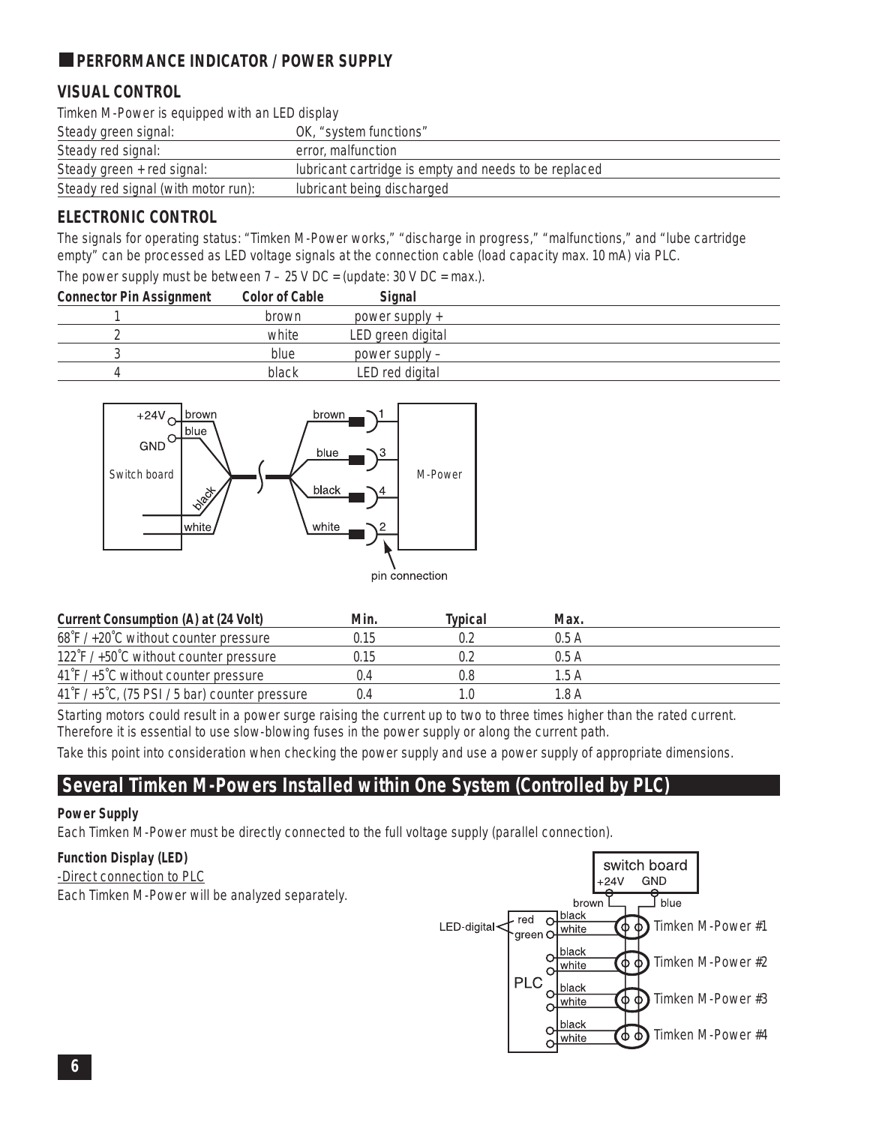## **PERFORMANCE INDICATOR / POWER SUPPLY**

## **VISUAL CONTROL**

Timken M-Power is equipped with an LED display

| Steady green signal:                | OK, "system functions"                                |
|-------------------------------------|-------------------------------------------------------|
| Steady red signal:                  | error, malfunction                                    |
| Steady green + red signal:          | lubricant cartridge is empty and needs to be replaced |
| Steady red signal (with motor run): | lubricant being discharged                            |

### **ELECTRONIC CONTROL**

The signals for operating status: "Timken M-Power works," "discharge in progress," "malfunctions," and "lube cartridge empty" can be processed as LED voltage signals at the connection cable (load capacity max. 10 mA) via PLC.

The power supply must be between  $7 - 25$  V DC = (update: 30 V DC = max.).

| brown | power supply $+$  |  |
|-------|-------------------|--|
|       |                   |  |
| white | LED green digital |  |
| blue  | power supply –    |  |
| black | LED red digital   |  |
|       |                   |  |



| Current Consumption (A) at (24 Volt)                              | Min.  | Tvpical | Max.  |  |
|-------------------------------------------------------------------|-------|---------|-------|--|
| 68°F / +20°C without counter pressure                             | 0.15  | 0.2     | 0.5A  |  |
| $122 \hat{\ }$ F / +50 $\hat{\ }$ C without counter pressure      | 0.15  | 0.2     | 0.5A  |  |
| $41 \text{ F}$ / +5°C without counter pressure                    | (1.4) | 0.8     | 1.5A  |  |
| $41\degree$ F / +5 $\degree$ C, (75 PSI / 5 bar) counter pressure | ()4   | 1.0     | 1 8 A |  |

Starting motors could result in a power surge raising the current up to two to three times higher than the rated current. Therefore it is essential to use slow-blowing fuses in the power supply or along the current path.

Take this point into consideration when checking the power supply and use a power supply of appropriate dimensions.

## **Several Timken M-Powers Installed within One System (Controlled by PLC)**

#### **Power Supply**

Each Timken M-Power must be directly connected to the full voltage supply (parallel connection).

#### **Function Display (LED)**

-Direct connection to PLC Each Timken M-Power will be analyzed separately.

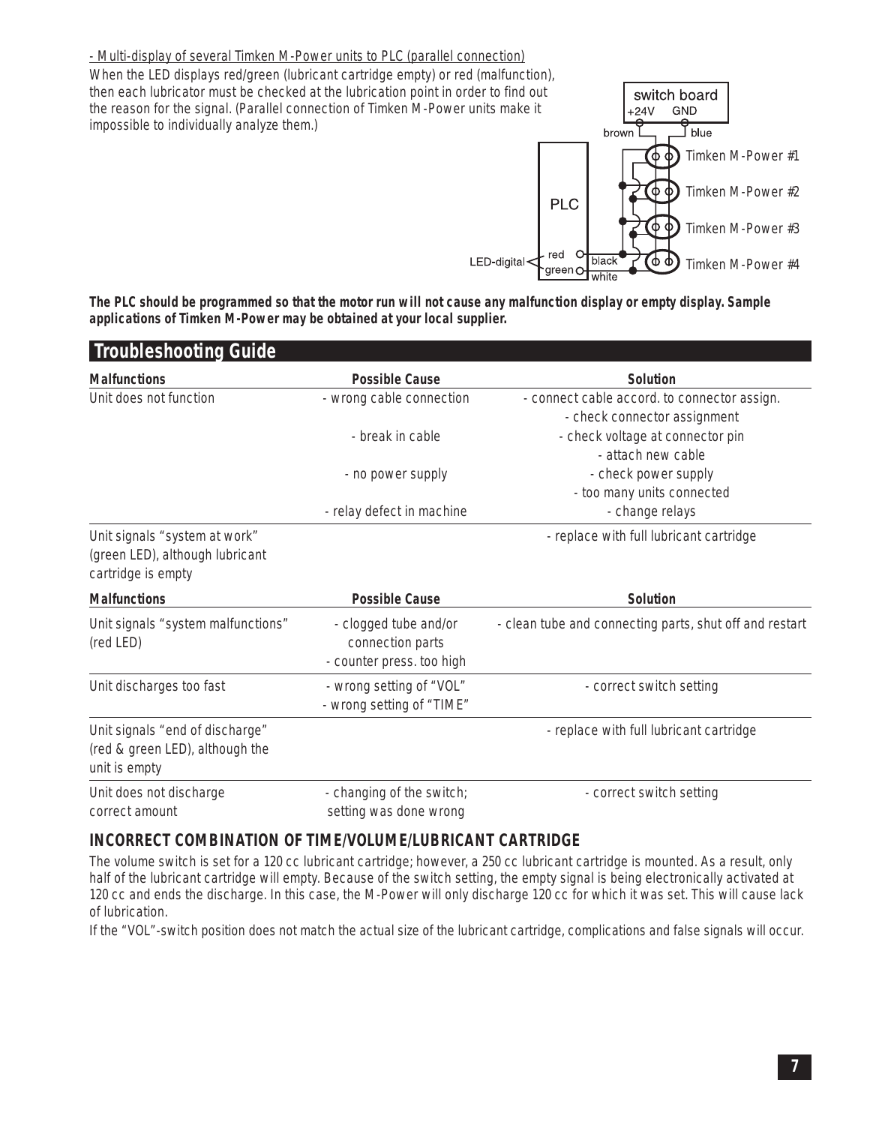- Multi-display of several Timken M-Power units to PLC (parallel connection)

When the LED displays red/green (lubricant cartridge empty) or red (malfunction), then each lubricator must be checked at the lubrication point in order to find out the reason for the signal. (Parallel connection of Timken M-Power units make it impossible to individually analyze them.)



**The PLC should be programmed so that the motor run will not cause any malfunction display or empty display. Sample applications of Timken M-Power may be obtained at your local supplier.**

| <b>Troubleshooting Guide</b>                                                           |                                                                        |                                                         |
|----------------------------------------------------------------------------------------|------------------------------------------------------------------------|---------------------------------------------------------|
| <b>Malfunctions</b>                                                                    | <b>Possible Cause</b>                                                  | Solution                                                |
| Unit does not function                                                                 | - wrong cable connection                                               | - connect cable accord. to connector assign.            |
|                                                                                        |                                                                        | - check connector assignment                            |
|                                                                                        | - break in cable                                                       | - check voltage at connector pin                        |
|                                                                                        |                                                                        | - attach new cable                                      |
|                                                                                        | - no power supply                                                      | - check power supply                                    |
|                                                                                        |                                                                        | - too many units connected                              |
|                                                                                        | - relay defect in machine                                              | - change relays                                         |
| Unit signals "system at work"<br>(green LED), although lubricant<br>cartridge is empty |                                                                        | - replace with full lubricant cartridge                 |
|                                                                                        |                                                                        |                                                         |
| <b>Malfunctions</b>                                                                    | <b>Possible Cause</b>                                                  | <b>Solution</b>                                         |
| Unit signals "system malfunctions"<br>(red LED)                                        | - clogged tube and/or<br>connection parts<br>- counter press. too high | - clean tube and connecting parts, shut off and restart |
| Unit discharges too fast                                                               | - wrong setting of "VOL"<br>- wrong setting of "TIME"                  | - correct switch setting                                |
| Unit signals "end of discharge"<br>(red & green LED), although the<br>unit is empty    |                                                                        | - replace with full lubricant cartridge                 |

#### **INCORRECT COMBINATION OF TIME/VOLUME/LUBRICANT CARTRIDGE**

The volume switch is set for a 120 cc lubricant cartridge; however, a 250 cc lubricant cartridge is mounted. As a result, only half of the lubricant cartridge will empty. Because of the switch setting, the empty signal is being electronically activated at 120 cc and ends the discharge. In this case, the M-Power will only discharge 120 cc for which it was set. This will cause lack of lubrication.

If the "VOL"-switch position does not match the actual size of the lubricant cartridge, complications and false signals will occur.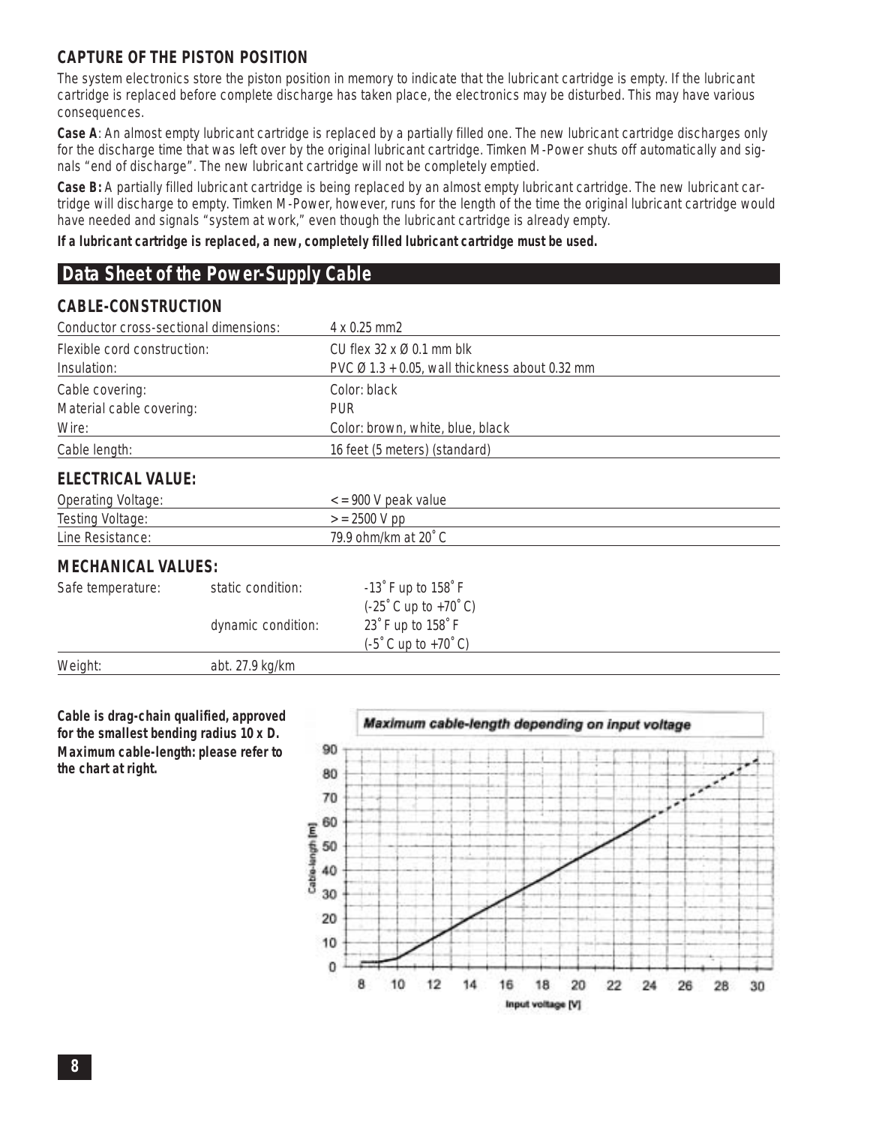#### **CAPTURE OF THE PISTON POSITION**

The system electronics store the piston position in memory to indicate that the lubricant cartridge is empty. If the lubricant cartridge is replaced before complete discharge has taken place, the electronics may be disturbed. This may have various consequences.

**Case A**: *An almost empty lubricant cartridge is replaced by a partially filled one.* The new lubricant cartridge discharges only for the discharge time that was left over by the original lubricant cartridge. Timken M-Power shuts off automatically and signals "end of discharge". The new lubricant cartridge will not be completely emptied.

**Case B:** *A partially filled lubricant cartridge is being replaced by an almost empty lubricant cartridge.* The new lubricant cartridge will discharge to empty. Timken M-Power, however, runs for the length of the time the original lubricant cartridge would have needed and signals "system at work," even though the lubricant cartridge is already empty.

**If a lubricant cartridge is replaced, a new, completely filled lubricant cartridge must be used.**

## **Data Sheet of the Power-Supply Cable**

#### **CABLE-CONSTRUCTION**

| Conductor cross-sectional dimensions:                                                                                                       |                    | 4 x 0.25 mm2                                                   |  |
|---------------------------------------------------------------------------------------------------------------------------------------------|--------------------|----------------------------------------------------------------|--|
| CU flex $32 \times 0.01$ mm blk<br>Flexible cord construction:<br>PVC $\varnothing$ 1.3 + 0.05, wall thickness about 0.32 mm<br>Insulation: |                    |                                                                |  |
| Cable covering:<br>Material cable covering:<br>Wire:                                                                                        |                    | Color: black<br><b>PUR</b><br>Color: brown, white, blue, black |  |
| Cable length:                                                                                                                               |                    | 16 feet (5 meters) (standard)                                  |  |
| <b>ELECTRICAL VALUE:</b>                                                                                                                    |                    |                                                                |  |
| Operating Voltage:                                                                                                                          |                    | $\epsilon$ = 900 V peak value                                  |  |
| Testing Voltage:<br>$>$ = 2500 V pp                                                                                                         |                    |                                                                |  |
| Line Resistance:                                                                                                                            |                    | 79.9 ohm/km at 20° C                                           |  |
| <b>MECHANICAL VALUES:</b>                                                                                                                   |                    |                                                                |  |
| Safe temperature:                                                                                                                           | static condition:  | $-13$ F up to $158$ F                                          |  |
|                                                                                                                                             |                    | $(-25^{\circ} C \text{ up to } +70^{\circ} C)$                 |  |
|                                                                                                                                             | dynamic condition: | 23° F up to 158° F                                             |  |
|                                                                                                                                             |                    | (-5°C up to +70°C)                                             |  |
| Weight:                                                                                                                                     | abt. 27.9 kg/km    |                                                                |  |

**Cable is drag-chain qualified, approved for the smallest bending radius 10 x D. Maximum cable-length: please refer to the chart at right.**

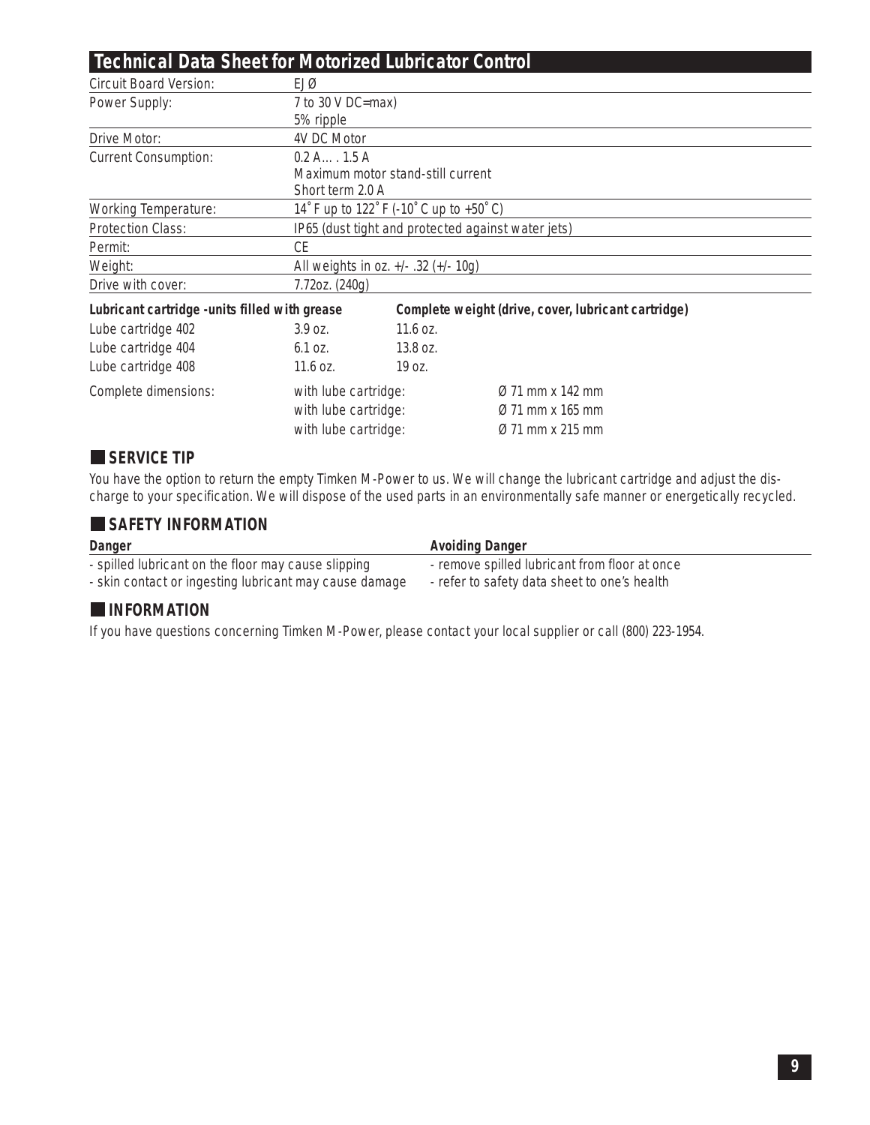# **Technical Data Sheet for Motorized Lubricator Control**

| <b>Circuit Board Version:</b>                  | EJØ                                                |                                                     |                              |  |
|------------------------------------------------|----------------------------------------------------|-----------------------------------------------------|------------------------------|--|
| Power Supply:                                  | 7 to 30 V DC=max)                                  |                                                     |                              |  |
|                                                | 5% ripple                                          |                                                     |                              |  |
| Drive Motor:                                   | 4V DC Motor                                        |                                                     |                              |  |
| <b>Current Consumption:</b>                    | 0.2 A 1.5 A                                        |                                                     |                              |  |
|                                                | Maximum motor stand-still current                  |                                                     |                              |  |
|                                                | Short term 2.0 A                                   |                                                     |                              |  |
| <b>Working Temperature:</b>                    | 14° F up to 122° F (-10° C up to +50° C)           |                                                     |                              |  |
| <b>Protection Class:</b>                       | IP65 (dust tight and protected against water jets) |                                                     |                              |  |
| Permit:                                        | CE                                                 |                                                     |                              |  |
| Weight:                                        | All weights in oz. +/- .32 (+/- 10g)               |                                                     |                              |  |
| Drive with cover:                              | 7.72oz. (240g)                                     |                                                     |                              |  |
| Lubricant cartridge - units filled with grease |                                                    | Complete weight (drive, cover, lubricant cartridge) |                              |  |
| Lube cartridge 402                             | $3.9$ OZ.                                          | $11.6$ oz.                                          |                              |  |
| Lube cartridge 404                             | 6.1 oz.                                            | 13.8 oz.                                            |                              |  |
| Lube cartridge 408                             | $11.6$ oz.                                         | 19 oz.                                              |                              |  |
| Complete dimensions:                           | with lube cartridge:                               |                                                     | $\varnothing$ 71 mm x 142 mm |  |
|                                                | with lube cartridge:                               |                                                     | $\varnothing$ 71 mm x 165 mm |  |
| with lube cartridge:                           |                                                    |                                                     | $\varnothing$ 71 mm x 215 mm |  |
|                                                |                                                    |                                                     |                              |  |

## **SERVICE TIP**

You have the option to return the empty Timken M-Power to us. We will change the lubricant cartridge and adjust the discharge to your specification. We will dispose of the used parts in an environmentally safe manner or energetically recycled.

#### **SAFETY INFORMATION**

| <b>Danger</b>                                          | <b>Avoiding Danger</b>                        |
|--------------------------------------------------------|-----------------------------------------------|
| - spilled lubricant on the floor may cause slipping    | - remove spilled lubricant from floor at once |
| - skin contact or ingesting lubricant may cause damage | - refer to safety data sheet to one's health  |

#### **INFORMATION**

If you have questions concerning Timken M-Power, please contact your local supplier or call (800) 223-1954.